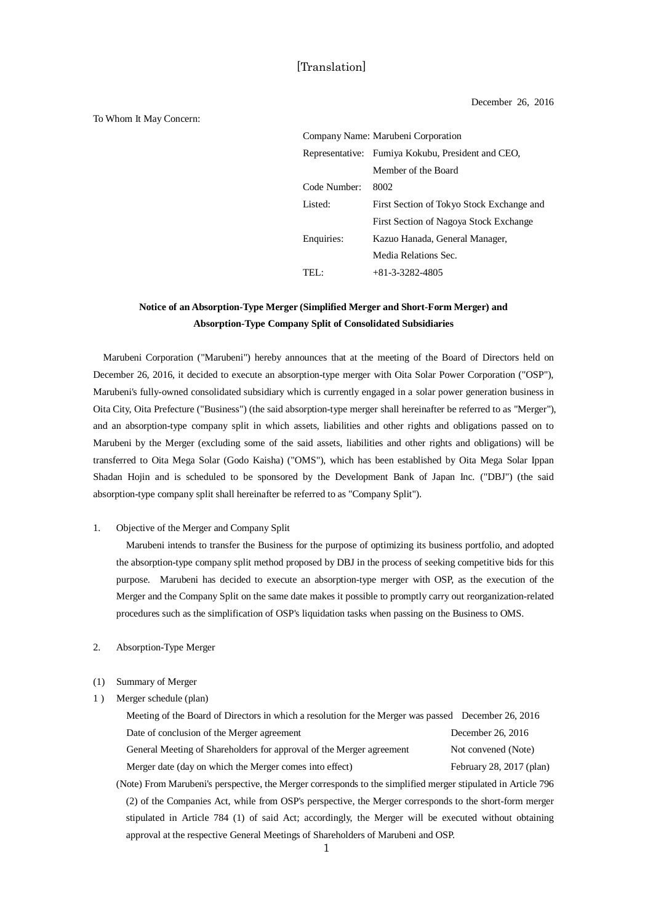# [Translation]

December 26, 2016

#### To Whom It May Concern:

| Company Name: Marubeni Corporation |                                                   |  |  |
|------------------------------------|---------------------------------------------------|--|--|
|                                    | Representative: Fumiya Kokubu, President and CEO, |  |  |
|                                    | Member of the Board                               |  |  |
| Code Number:                       | 8002                                              |  |  |
| Listed:                            | First Section of Tokyo Stock Exchange and         |  |  |
|                                    | First Section of Nagoya Stock Exchange            |  |  |
| Enquiries:                         | Kazuo Hanada, General Manager,                    |  |  |
|                                    | Media Relations Sec.                              |  |  |
| TEL                                | $+81 - 3 - 3282 - 4805$                           |  |  |
|                                    |                                                   |  |  |

# **Notice of an Absorption-Type Merger (Simplified Merger and Short-Form Merger) and Absorption-Type Company Split of Consolidated Subsidiaries**

Marubeni Corporation ("Marubeni") hereby announces that at the meeting of the Board of Directors held on December 26, 2016, it decided to execute an absorption-type merger with Oita Solar Power Corporation ("OSP"), Marubeni's fully-owned consolidated subsidiary which is currently engaged in a solar power generation business in Oita City, Oita Prefecture ("Business") (the said absorption-type merger shall hereinafter be referred to as "Merger"), and an absorption-type company split in which assets, liabilities and other rights and obligations passed on to Marubeni by the Merger (excluding some of the said assets, liabilities and other rights and obligations) will be transferred to Oita Mega Solar (Godo Kaisha) ("OMS"), which has been established by Oita Mega Solar Ippan Shadan Hojin and is scheduled to be sponsored by the Development Bank of Japan Inc. ("DBJ") (the said absorption-type company split shall hereinafter be referred to as "Company Split").

#### 1. Objective of the Merger and Company Split

Marubeni intends to transfer the Business for the purpose of optimizing its business portfolio, and adopted the absorption-type company split method proposed by DBJ in the process of seeking competitive bids for this purpose. Marubeni has decided to execute an absorption-type merger with OSP, as the execution of the Merger and the Company Split on the same date makes it possible to promptly carry out reorganization-related procedures such as the simplification of OSP's liquidation tasks when passing on the Business to OMS.

#### 2. Absorption-Type Merger

#### (1) Summary of Merger

1 ) Merger schedule (plan)

| Meeting of the Board of Directors in which a resolution for the Merger was passed December 26, 2016 |                          |
|-----------------------------------------------------------------------------------------------------|--------------------------|
| Date of conclusion of the Merger agreement                                                          | December 26, 2016        |
| General Meeting of Shareholders for approval of the Merger agreement                                | Not convened (Note)      |
| Merger date (day on which the Merger comes into effect)                                             | February 28, 2017 (plan) |

(Note) From Marubeni's perspective, the Merger corresponds to the simplified merger stipulated in Article 796 (2) of the Companies Act, while from OSP's perspective, the Merger corresponds to the short-form merger stipulated in Article 784 (1) of said Act; accordingly, the Merger will be executed without obtaining approval at the respective General Meetings of Shareholders of Marubeni and OSP.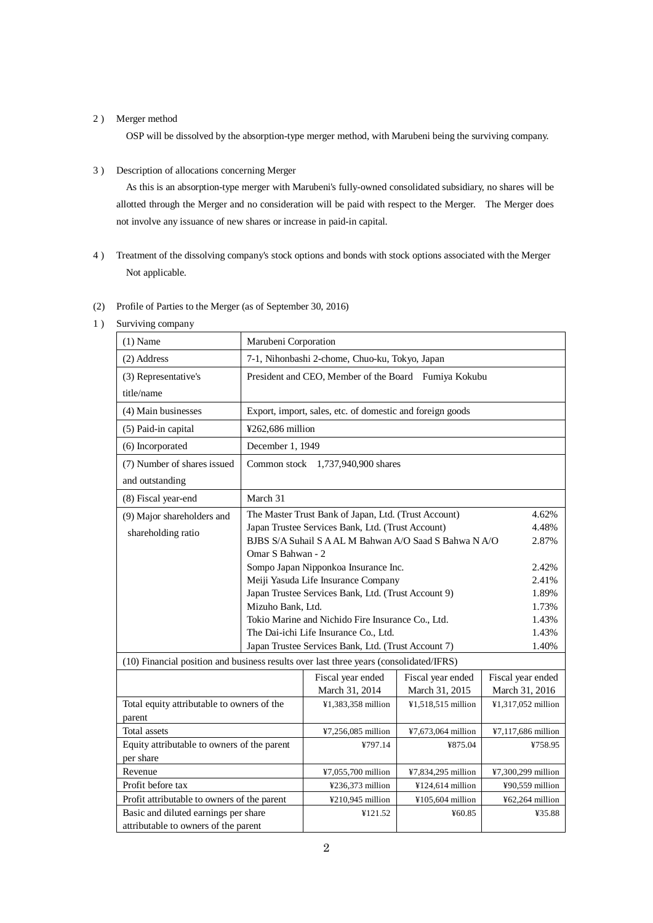### 2 ) Merger method

OSP will be dissolved by the absorption-type merger method, with Marubeni being the surviving company.

3 ) Description of allocations concerning Merger

As this is an absorption-type merger with Marubeni's fully-owned consolidated subsidiary, no shares will be allotted through the Merger and no consideration will be paid with respect to the Merger. The Merger does not involve any issuance of new shares or increase in paid-in capital.

- 4 ) Treatment of the dissolving company's stock options and bonds with stock options associated with the Merger Not applicable.
- (2) Profile of Parties to the Merger (as of September 30, 2016)
- 1) Surviving company

| $(1)$ Name                                                                             | Marubeni Corporation                                            |                                                           |                    |                    |  |
|----------------------------------------------------------------------------------------|-----------------------------------------------------------------|-----------------------------------------------------------|--------------------|--------------------|--|
| (2) Address                                                                            | 7-1, Nihonbashi 2-chome, Chuo-ku, Tokyo, Japan                  |                                                           |                    |                    |  |
| (3) Representative's                                                                   |                                                                 | President and CEO, Member of the Board Fumiya Kokubu      |                    |                    |  |
| title/name                                                                             |                                                                 |                                                           |                    |                    |  |
| (4) Main businesses                                                                    |                                                                 | Export, import, sales, etc. of domestic and foreign goods |                    |                    |  |
| (5) Paid-in capital                                                                    |                                                                 | ¥262,686 million                                          |                    |                    |  |
| (6) Incorporated                                                                       | December 1, 1949                                                |                                                           |                    |                    |  |
| (7) Number of shares issued                                                            |                                                                 | Common stock 1,737,940,900 shares                         |                    |                    |  |
| and outstanding                                                                        |                                                                 |                                                           |                    |                    |  |
| (8) Fiscal year-end                                                                    | March 31                                                        |                                                           |                    |                    |  |
| (9) Major shareholders and                                                             |                                                                 | The Master Trust Bank of Japan, Ltd. (Trust Account)      |                    | 4.62%              |  |
| shareholding ratio                                                                     |                                                                 | Japan Trustee Services Bank, Ltd. (Trust Account)         |                    | 4.48%              |  |
|                                                                                        | BJBS S/A Suhail S A AL M Bahwan A/O Saad S Bahwa N A/O<br>2.87% |                                                           |                    |                    |  |
|                                                                                        | Omar S Bahwan - 2                                               |                                                           |                    |                    |  |
|                                                                                        | Sompo Japan Nipponkoa Insurance Inc.                            |                                                           |                    | 2.42%              |  |
|                                                                                        | Meiji Yasuda Life Insurance Company                             |                                                           |                    | 2.41%              |  |
|                                                                                        | Japan Trustee Services Bank, Ltd. (Trust Account 9)             |                                                           |                    | 1.89%              |  |
|                                                                                        | Mizuho Bank, Ltd.                                               |                                                           |                    | 1.73%              |  |
|                                                                                        | Tokio Marine and Nichido Fire Insurance Co., Ltd.               |                                                           |                    | 1.43%              |  |
|                                                                                        | The Dai-ichi Life Insurance Co., Ltd.                           |                                                           |                    | 1.43%              |  |
|                                                                                        | Japan Trustee Services Bank, Ltd. (Trust Account 7)             |                                                           |                    | 1.40%              |  |
| (10) Financial position and business results over last three years (consolidated/IFRS) |                                                                 |                                                           |                    |                    |  |
|                                                                                        |                                                                 | Fiscal year ended                                         | Fiscal year ended  | Fiscal year ended  |  |
|                                                                                        |                                                                 | March 31, 2014                                            | March 31, 2015     | March 31, 2016     |  |
| Total equity attributable to owners of the                                             |                                                                 | ¥1,383,358 million                                        | ¥1,518,515 million | ¥1,317,052 million |  |
| parent                                                                                 |                                                                 |                                                           |                    |                    |  |
| Total assets                                                                           |                                                                 | ¥7,256,085 million                                        | ¥7,673,064 million | ¥7,117,686 million |  |
| Equity attributable to owners of the parent                                            |                                                                 | ¥797.14                                                   | ¥875.04            | ¥758.95            |  |
| per share                                                                              |                                                                 |                                                           |                    |                    |  |
| Revenue                                                                                |                                                                 | ¥7,055,700 million                                        | ¥7,834,295 million | ¥7,300,299 million |  |
| Profit before tax                                                                      |                                                                 | ¥236,373 million                                          | ¥124,614 million   | ¥90,559 million    |  |
| Profit attributable to owners of the parent                                            |                                                                 | ¥210,945 million                                          | ¥105,604 million   | ¥62,264 million    |  |
| Basic and diluted earnings per share                                                   |                                                                 | ¥121.52                                                   | ¥60.85             | ¥35.88             |  |
| attributable to owners of the parent                                                   |                                                                 |                                                           |                    |                    |  |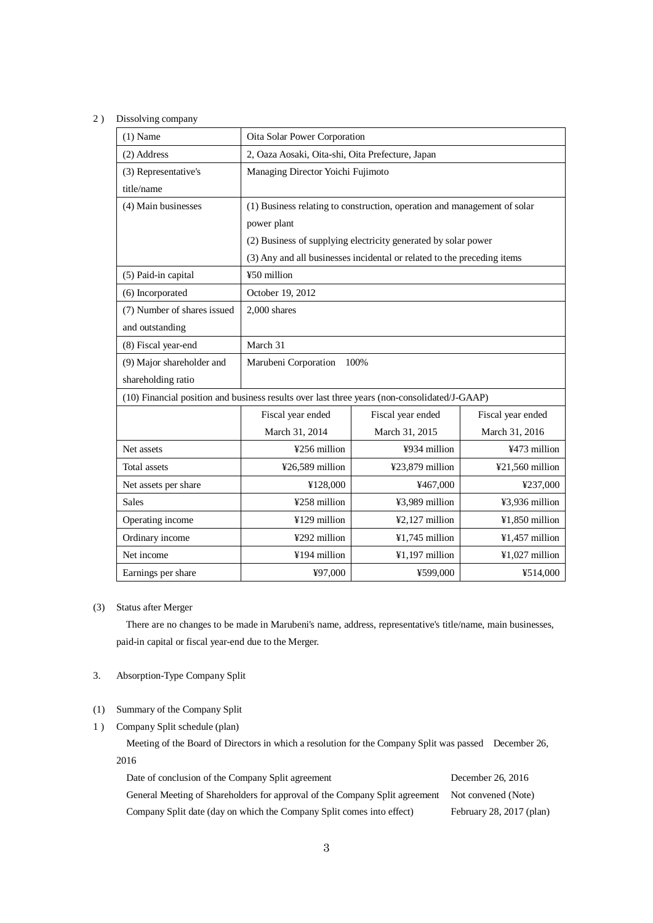### 2) Dissolving company

| $(1)$ Name                                                                                   | Oita Solar Power Corporation                                             |                                                  |                   |  |
|----------------------------------------------------------------------------------------------|--------------------------------------------------------------------------|--------------------------------------------------|-------------------|--|
| (2) Address                                                                                  |                                                                          | 2, Oaza Aosaki, Oita-shi, Oita Prefecture, Japan |                   |  |
| (3) Representative's                                                                         | Managing Director Yoichi Fujimoto                                        |                                                  |                   |  |
| title/name                                                                                   |                                                                          |                                                  |                   |  |
| (4) Main businesses                                                                          | (1) Business relating to construction, operation and management of solar |                                                  |                   |  |
|                                                                                              | power plant                                                              |                                                  |                   |  |
|                                                                                              | (2) Business of supplying electricity generated by solar power           |                                                  |                   |  |
|                                                                                              | (3) Any and all businesses incidental or related to the preceding items  |                                                  |                   |  |
| (5) Paid-in capital                                                                          | ¥50 million                                                              |                                                  |                   |  |
| (6) Incorporated                                                                             | October 19, 2012                                                         |                                                  |                   |  |
| (7) Number of shares issued                                                                  | $2,000$ shares                                                           |                                                  |                   |  |
| and outstanding                                                                              |                                                                          |                                                  |                   |  |
| (8) Fiscal year-end                                                                          | March 31                                                                 |                                                  |                   |  |
| (9) Major shareholder and                                                                    | Marubeni Corporation<br>100%                                             |                                                  |                   |  |
| shareholding ratio                                                                           |                                                                          |                                                  |                   |  |
| (10) Financial position and business results over last three years (non-consolidated/J-GAAP) |                                                                          |                                                  |                   |  |
|                                                                                              | Fiscal year ended                                                        | Fiscal year ended                                | Fiscal year ended |  |
|                                                                                              | March 31, 2014                                                           | March 31, 2015                                   | March 31, 2016    |  |
| Net assets                                                                                   | ¥256 million                                                             | ¥934 million                                     | ¥473 million      |  |
| Total assets                                                                                 | ¥26,589 million                                                          | ¥23,879 million                                  | $421,560$ million |  |
| Net assets per share                                                                         | ¥128,000                                                                 | ¥467,000                                         | ¥237,000          |  |
| <b>Sales</b>                                                                                 | ¥258 million                                                             | ¥3,989 million                                   | ¥3,936 million    |  |
| Operating income                                                                             | ¥129 million                                                             | ¥2,127 million                                   | ¥1,850 million    |  |
| Ordinary income                                                                              | ¥292 million                                                             | ¥1,745 million                                   | ¥1,457 million    |  |
| Net income                                                                                   | ¥194 million                                                             | ¥1,197 million                                   | ¥1,027 million    |  |
| Earnings per share                                                                           | ¥97,000<br>¥599,000<br>¥514,000                                          |                                                  |                   |  |

### (3) Status after Merger

There are no changes to be made in Marubeni's name, address, representative's title/name, main businesses, paid-in capital or fiscal year-end due to the Merger.

- 3. Absorption-Type Company Split
- (1) Summary of the Company Split
- 1 ) Company Split schedule (plan)

Meeting of the Board of Directors in which a resolution for the Company Split was passed December 26, 2016

| Date of conclusion of the Company Split agreement                                               | December 26, 2016          |
|-------------------------------------------------------------------------------------------------|----------------------------|
| General Meeting of Shareholders for approval of the Company Split agreement Not convened (Note) |                            |
| Company Split date (day on which the Company Split comes into effect)                           | February 28, $2017$ (plan) |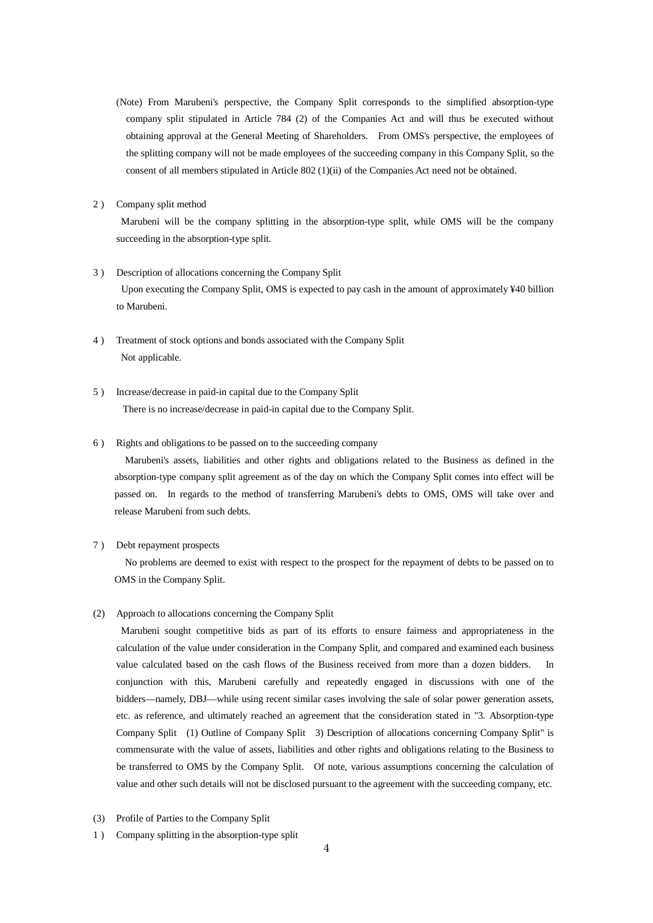- (Note) From Marubeni's perspective, the Company Split corresponds to the simplified absorption-type company split stipulated in Article 784 (2) of the Companies Act and will thus be executed without obtaining approval at the General Meeting of Shareholders. From OMS's perspective, the employees of the splitting company will not be made employees of the succeeding company in this Company Split, so the consent of all members stipulated in Article 802 (1)(ii) of the Companies Act need not be obtained.
- 2 ) Company split method

Marubeni will be the company splitting in the absorption-type split, while OMS will be the company succeeding in the absorption-type split.

- 3 ) Description of allocations concerning the Company Split Upon executing the Company Split, OMS is expected to pay cash in the amount of approximately ¥40 billion to Marubeni.
- 4 ) Treatment of stock options and bonds associated with the Company Split Not applicable.
- 5 ) Increase/decrease in paid-in capital due to the Company Split There is no increase/decrease in paid-in capital due to the Company Split.

#### 6 ) Rights and obligations to be passed on to the succeeding company

Marubeni's assets, liabilities and other rights and obligations related to the Business as defined in the absorption-type company split agreement as of the day on which the Company Split comes into effect will be passed on. In regards to the method of transferring Marubeni's debts to OMS, OMS will take over and release Marubeni from such debts.

### 7 ) Debt repayment prospects

No problems are deemed to exist with respect to the prospect for the repayment of debts to be passed on to OMS in the Company Split.

(2) Approach to allocations concerning the Company Split

Marubeni sought competitive bids as part of its efforts to ensure fairness and appropriateness in the calculation of the value under consideration in the Company Split, and compared and examined each business value calculated based on the cash flows of the Business received from more than a dozen bidders. In conjunction with this, Marubeni carefully and repeatedly engaged in discussions with one of the bidders—namely, DBJ—while using recent similar cases involving the sale of solar power generation assets, etc. as reference, and ultimately reached an agreement that the consideration stated in "3. Absorption-type Company Split (1) Outline of Company Split 3) Description of allocations concerning Company Split" is commensurate with the value of assets, liabilities and other rights and obligations relating to the Business to be transferred to OMS by the Company Split. Of note, various assumptions concerning the calculation of value and other such details will not be disclosed pursuant to the agreement with the succeeding company, etc.

- (3) Profile of Parties to the Company Split
- 1 ) Company splitting in the absorption-type split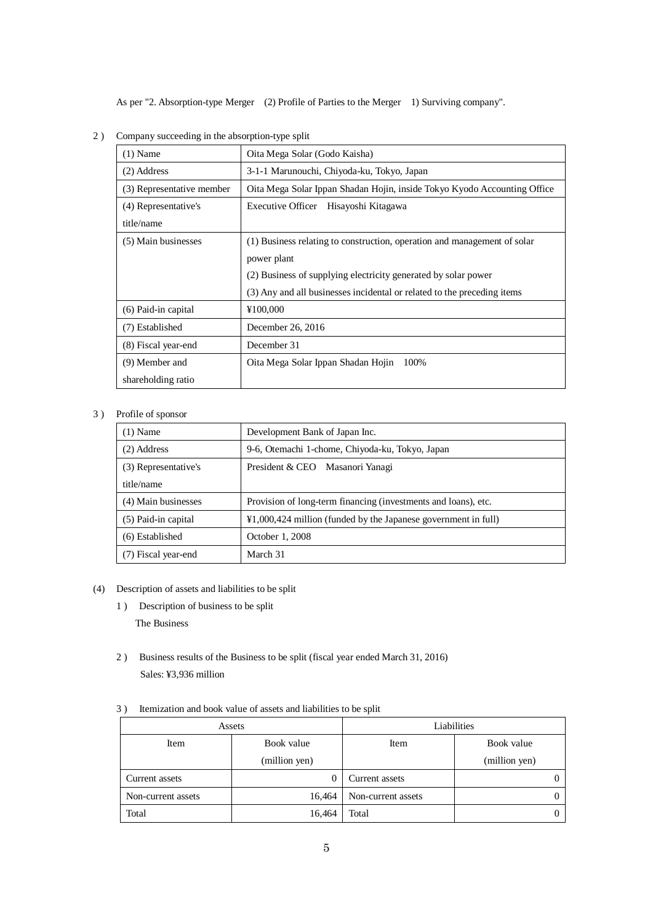As per "2. Absorption-type Merger (2) Profile of Parties to the Merger 1) Surviving company".

| $(1)$ Name                | Oita Mega Solar (Godo Kaisha)                                            |  |  |
|---------------------------|--------------------------------------------------------------------------|--|--|
| (2) Address               | 3-1-1 Marunouchi, Chiyoda-ku, Tokyo, Japan                               |  |  |
| (3) Representative member | Oita Mega Solar Ippan Shadan Hojin, inside Tokyo Kyodo Accounting Office |  |  |
| (4) Representative's      | <b>Executive Officer</b><br>Hisayoshi Kitagawa                           |  |  |
| title/name                |                                                                          |  |  |
| (5) Main businesses       | (1) Business relating to construction, operation and management of solar |  |  |
|                           | power plant                                                              |  |  |
|                           | (2) Business of supplying electricity generated by solar power           |  |  |
|                           | (3) Any and all businesses incidental or related to the preceding items  |  |  |
| (6) Paid-in capital       | ¥100,000                                                                 |  |  |
| (7) Established           | December 26, 2016                                                        |  |  |
| (8) Fiscal year-end       | December 31                                                              |  |  |
| (9) Member and            | Oita Mega Solar Ippan Shadan Hojin<br>100%                               |  |  |
| shareholding ratio        |                                                                          |  |  |

2 ) Company succeeding in the absorption-type split

## 3 ) Profile of sponsor

| $(1)$ Name           | Development Bank of Japan Inc.                                 |  |
|----------------------|----------------------------------------------------------------|--|
| (2) Address          | 9-6, Otemachi 1-chome, Chiyoda-ku, Tokyo, Japan                |  |
| (3) Representative's | President & CEO Masanori Yanagi                                |  |
| title/name           |                                                                |  |
| (4) Main businesses  | Provision of long-term financing (investments and loans), etc. |  |
| (5) Paid-in capital  | ¥1,000,424 million (funded by the Japanese government in full) |  |
| (6) Established      | October 1, 2008                                                |  |
| (7) Fiscal year-end  | March 31                                                       |  |

## (4) Description of assets and liabilities to be split

- 1 ) Description of business to be split The Business
- 2 ) Business results of the Business to be split (fiscal year ended March 31, 2016) Sales: ¥3,936 million

## 3 ) Itemization and book value of assets and liabilities to be split

| Assets             |               | Liabilities        |               |
|--------------------|---------------|--------------------|---------------|
| Item               | Book value    | Item               | Book value    |
|                    | (million yen) |                    | (million yen) |
| Current assets     | 0             | Current assets     |               |
| Non-current assets | 16,464        | Non-current assets |               |
| Total              | 16,464        | Total              |               |